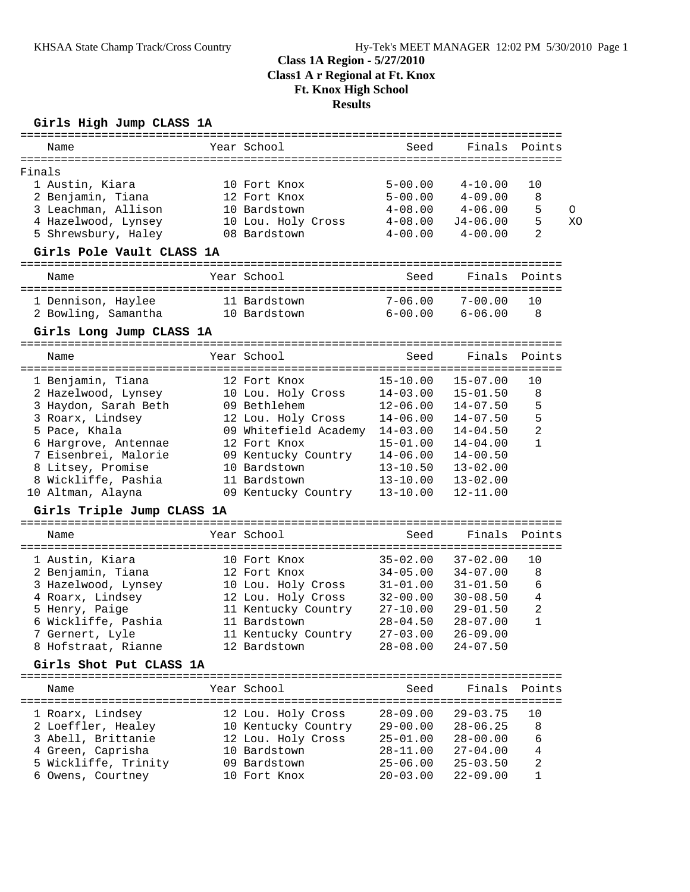# **Class 1A Region - 5/27/2010 Class1 A r Regional at Ft. Knox Ft. Knox High School Results**

### **Girls High Jump CLASS 1A**

| Name                                      |  | Year School                           | Seed         | Finals       | Points         |    |  |  |
|-------------------------------------------|--|---------------------------------------|--------------|--------------|----------------|----|--|--|
|                                           |  |                                       |              |              |                |    |  |  |
| Finals                                    |  |                                       |              |              |                |    |  |  |
| 1 Austin, Kiara                           |  | 10 Fort Knox                          | $5 - 00.00$  | $4 - 10.00$  | 10             |    |  |  |
| 2 Benjamin, Tiana                         |  | 12 Fort Knox                          | $5 - 00.00$  | $4 - 09.00$  | 8              |    |  |  |
| 3 Leachman, Allison                       |  | 10 Bardstown                          | $4 - 08.00$  | $4 - 06.00$  | 5              | O  |  |  |
| 4 Hazelwood, Lynsey                       |  | 10 Lou. Holy Cross                    | $4 - 08.00$  | $J4 - 06.00$ | 5              | XO |  |  |
| 5 Shrewsbury, Haley                       |  | 08 Bardstown                          | $4 - 00.00$  | $4 - 00.00$  | $\overline{2}$ |    |  |  |
| Girls Pole Vault CLASS 1A                 |  |                                       |              |              |                |    |  |  |
| Name                                      |  | Year School                           | Seed         | Finals       | Points         |    |  |  |
|                                           |  |                                       |              |              |                |    |  |  |
| 1 Dennison, Haylee                        |  | 11 Bardstown                          | $7 - 06.00$  | $7 - 00.00$  | 10             |    |  |  |
| 2 Bowling, Samantha                       |  | 10 Bardstown                          | $6 - 00.00$  | $6 - 06.00$  | 8              |    |  |  |
| Girls Long Jump CLASS 1A                  |  |                                       |              |              |                |    |  |  |
| Name                                      |  | Year School                           | Seed         | Finals       | Points         |    |  |  |
|                                           |  |                                       |              |              |                |    |  |  |
| 1 Benjamin, Tiana                         |  | 12 Fort Knox                          | $15 - 10.00$ | $15 - 07.00$ | 10             |    |  |  |
| 2 Hazelwood, Lynsey                       |  | 10 Lou. Holy Cross                    | $14 - 03.00$ | $15 - 01.50$ | 8              |    |  |  |
| 3 Haydon, Sarah Beth                      |  | 09 Bethlehem                          | $12 - 06.00$ | $14 - 07.50$ | 5              |    |  |  |
| 3 Roarx, Lindsey                          |  | 12 Lou. Holy Cross                    | $14 - 06.00$ | $14 - 07.50$ | 5              |    |  |  |
|                                           |  |                                       | $14 - 03.00$ | $14 - 04.50$ | $\overline{a}$ |    |  |  |
| 5 Pace, Khala                             |  | 09 Whitefield Academy<br>12 Fort Knox |              |              | $\mathbf{1}$   |    |  |  |
| 6 Hargrove, Antennae                      |  |                                       | $15 - 01.00$ | $14 - 04.00$ |                |    |  |  |
| 7 Eisenbrei, Malorie                      |  | 09 Kentucky Country                   | $14 - 06.00$ | $14 - 00.50$ |                |    |  |  |
| 8 Litsey, Promise                         |  | 10 Bardstown                          | $13 - 10.50$ | $13 - 02.00$ |                |    |  |  |
| 8 Wickliffe, Pashia                       |  | 11 Bardstown                          | $13 - 10.00$ | $13 - 02.00$ |                |    |  |  |
| 10 Altman, Alayna                         |  | 09 Kentucky Country                   | $13 - 10.00$ | $12 - 11.00$ |                |    |  |  |
| Girls Triple Jump CLASS 1A                |  |                                       |              |              |                |    |  |  |
| Name                                      |  | Year School                           | Seed         | Finals       | Points         |    |  |  |
| 1 Austin, Kiara                           |  | 10 Fort Knox                          | $35 - 02.00$ | $37 - 02.00$ | 10             |    |  |  |
| 2 Benjamin, Tiana                         |  | 12 Fort Knox                          | $34 - 05.00$ | $34 - 07.00$ | 8              |    |  |  |
| 3 Hazelwood, Lynsey                       |  | 10 Lou. Holy Cross                    | $31 - 01.00$ | $31 - 01.50$ | 6              |    |  |  |
|                                           |  |                                       |              |              | $\overline{4}$ |    |  |  |
| 4 Roarx, Lindsey                          |  | 12 Lou. Holy Cross                    | $32 - 00.00$ | $30 - 08.50$ |                |    |  |  |
| 5 Henry, Paige                            |  | 11 Kentucky Country                   | $27 - 10.00$ | $29 - 01.50$ | 2              |    |  |  |
| 6 Wickliffe, Pashia                       |  | 11 Bardstown                          | $28 - 04.50$ | $28 - 07.00$ | 1              |    |  |  |
| 7 Gernert, Lyle                           |  | 11 Kentucky Country                   | $27 - 03.00$ | $26 - 09.00$ |                |    |  |  |
| 8 Hofstraat, Rianne                       |  | 12 Bardstown                          | 28-08.00     | $24 - 07.50$ |                |    |  |  |
| Girls Shot Put CLASS 1A                   |  |                                       |              |              |                |    |  |  |
| Name                                      |  | Year School                           | Seed         | Finals       | Points         |    |  |  |
| 1 Roarx, Lindsey                          |  | 12 Lou. Holy Cross                    | $28 - 09.00$ | 29-03.75     | 10             |    |  |  |
| 2 Loeffler, Healey                        |  | 10 Kentucky Country                   | $29 - 00.00$ | $28 - 06.25$ | 8              |    |  |  |
| 3 Abell, Brittanie                        |  | 12 Lou. Holy Cross                    | $25 - 01.00$ | $28 - 00.00$ | 6              |    |  |  |
|                                           |  | 10 Bardstown                          |              |              | 4              |    |  |  |
| 4 Green, Caprisha<br>5 Wickliffe, Trinity |  |                                       | $28 - 11.00$ | $27 - 04.00$ |                |    |  |  |
|                                           |  | 09 Bardstown<br>10 Fort Knox          | $25 - 06.00$ | $25 - 03.50$ | 2<br>1         |    |  |  |
| 6 Owens, Courtney                         |  |                                       | $20 - 03.00$ | $22 - 09.00$ |                |    |  |  |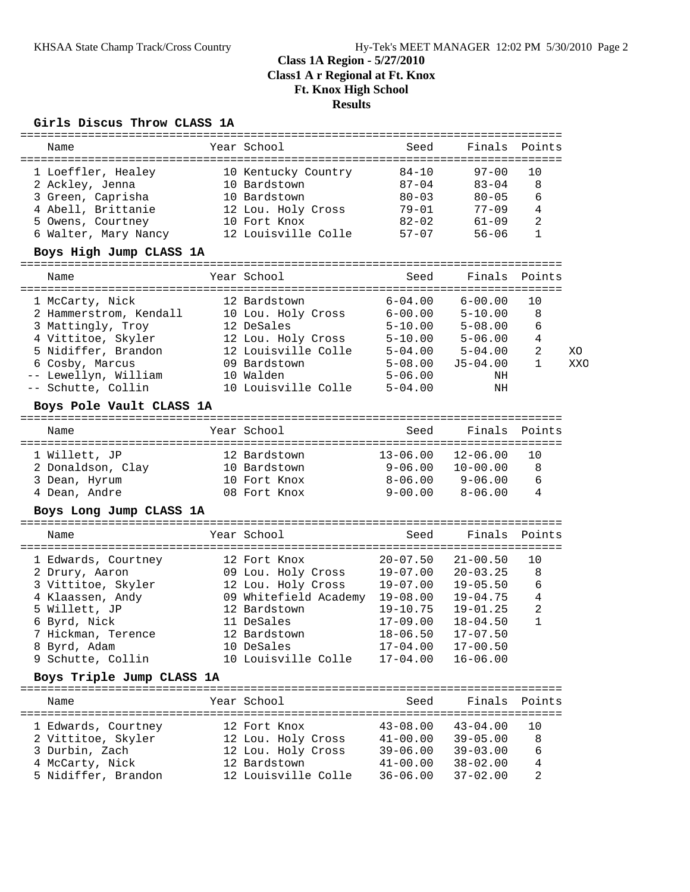# **Class 1A Region - 5/27/2010 Class1 A r Regional at Ft. Knox Ft. Knox High School Results**

### **Girls Discus Throw CLASS 1A**

| Name                      |  | Year School                    | Seed                      | Finals       | Points         |     |  |  |
|---------------------------|--|--------------------------------|---------------------------|--------------|----------------|-----|--|--|
| 1 Loeffler, Healey        |  | 10 Kentucky Country            | $84 - 10$                 | $97 - 00$    | 10             |     |  |  |
| 2 Ackley, Jenna           |  | 10 Bardstown                   | $87 - 04$                 | $83 - 04$    | 8              |     |  |  |
| 3 Green, Caprisha         |  | 10 Bardstown                   | $80 - 03$                 | $80 - 05$    | 6              |     |  |  |
| 4 Abell, Brittanie        |  | 12 Lou. Holy Cross             | 79-01                     | $77 - 09$    | $\overline{4}$ |     |  |  |
| 5 Owens, Courtney         |  | 10 Fort Knox                   | $82 - 02$                 | $61 - 09$    | 2              |     |  |  |
| 6 Walter, Mary Nancy      |  | 12 Louisville Colle            | $57 - 07$                 | $56 - 06$    | $\mathbf{1}$   |     |  |  |
| Boys High Jump CLASS 1A   |  |                                |                           |              |                |     |  |  |
| Name                      |  | Year School                    | Seed                      | Finals       | Points         |     |  |  |
|                           |  |                                |                           |              |                |     |  |  |
| 1 McCarty, Nick           |  | 12 Bardstown                   | $6 - 04.00$               | $6 - 00.00$  | 10             |     |  |  |
| 2 Hammerstrom, Kendall    |  | 10 Lou. Holy Cross             | $6 - 00.00$               | $5 - 10.00$  | 8              |     |  |  |
| 3 Mattingly, Troy         |  | 12 DeSales                     | $5 - 10.00$               | $5 - 08.00$  | 6              |     |  |  |
| 4 Vittitoe, Skyler        |  | 12 Lou. Holy Cross             | $5 - 10.00$               | $5 - 06.00$  | 4              |     |  |  |
| 5 Nidiffer, Brandon       |  | 12 Louisville Colle            | $5 - 04.00$               | $5 - 04.00$  | 2              | XО  |  |  |
| 6 Cosby, Marcus           |  | 09 Bardstown                   | $5 - 08.00$               | $J5 - 04.00$ | 1              | XXO |  |  |
| -- Lewellyn, William      |  | 10 Walden                      | $5 - 06.00$               | ΝH           |                |     |  |  |
| -- Schutte, Collin        |  | 10 Louisville Colle            | $5 - 04.00$               | ΝH           |                |     |  |  |
| Boys Pole Vault CLASS 1A  |  |                                |                           |              |                |     |  |  |
|                           |  |                                |                           |              |                |     |  |  |
| Name                      |  | Year School                    | Seed                      | Finals       | Points         |     |  |  |
| 1 Willett, JP             |  | 12 Bardstown                   | $13 - 06.00$              | $12 - 06.00$ | 10             |     |  |  |
| 2 Donaldson, Clay         |  | 10 Bardstown                   | 9-06.00                   | $10 - 00.00$ | 8              |     |  |  |
| 3 Dean, Hyrum             |  | 10 Fort Knox                   | $8 - 06.00$               | $9 - 06.00$  | 6              |     |  |  |
| 4 Dean, Andre             |  | 08 Fort Knox                   | $9 - 00.00$               | $8 - 06.00$  | 4              |     |  |  |
| Boys Long Jump CLASS 1A   |  |                                |                           |              |                |     |  |  |
| Name                      |  | Year School                    | Seed                      | Finals       | Points         |     |  |  |
|                           |  |                                |                           |              |                |     |  |  |
| 1 Edwards, Courtney       |  | 12 Fort Knox                   | $20 - 07.50$              | $21 - 00.50$ | 10             |     |  |  |
| 2 Drury, Aaron            |  | 09 Lou. Holy Cross             | $19 - 07.00$              | $20 - 03.25$ | 8              |     |  |  |
| 3 Vittitoe, Skyler        |  | 12 Lou. Holy Cross             | 19-07.00                  | $19 - 05.50$ | 6              |     |  |  |
| 4 Klaassen, Andy          |  | 09 Whitefield Academy 19-08.00 |                           | $19 - 04.75$ | 4              |     |  |  |
| 5 Willett, JP             |  | 12 Bardstown                   | $19 - 10.75$              | $19 - 01.25$ | 2              |     |  |  |
| 6 Byrd, Nick              |  | 11 DeSales                     | $17 - 09.00$              | $18 - 04.50$ | $\mathbf{1}$   |     |  |  |
| 7 Hickman, Terence        |  | 12 Bardstown                   | $18 - 06.50$ $17 - 07.50$ |              |                |     |  |  |
| 8 Byrd, Adam              |  | 10 DeSales                     | 17-04.00                  | $17 - 00.50$ |                |     |  |  |
| 9 Schutte, Collin         |  | 10 Louisville Colle            | $17 - 04.00$              | $16 - 06.00$ |                |     |  |  |
| Boys Triple Jump CLASS 1A |  |                                |                           |              |                |     |  |  |
| Name                      |  | Year School                    | Seed                      | Finals       | Points         |     |  |  |
|                           |  |                                |                           |              |                |     |  |  |
| 1 Edwards, Courtney       |  | 12 Fort Knox                   | $43 - 08.00$              | $43 - 04.00$ | 10             |     |  |  |
| 2 Vittitoe, Skyler        |  | 12 Lou. Holy Cross             | $41 - 00.00$              | $39 - 05.00$ | 8              |     |  |  |
| 3 Durbin, Zach            |  | 12 Lou. Holy Cross             | $39 - 06.00$              | $39 - 03.00$ | 6              |     |  |  |
| 4 McCarty, Nick           |  | 12 Bardstown                   | $41 - 00.00$              | $38 - 02.00$ | 4              |     |  |  |
| 5 Nidiffer, Brandon       |  | 12 Louisville Colle            | $36 - 06.00$              | $37 - 02.00$ | 2              |     |  |  |